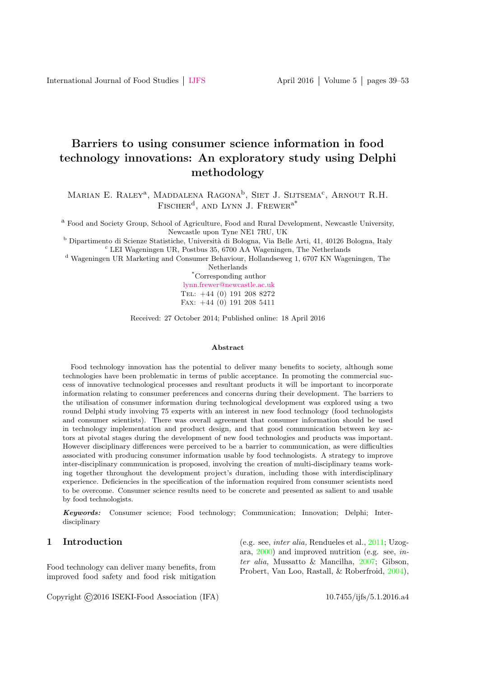# Barriers to using consumer science information in food technology innovations: An exploratory study using Delphi methodology

Marian E. Raley<sup>a</sup>, Maddalena Ragona<sup>b</sup>, Siet J. Sijtsema<sup>c</sup>, Arnout R.H. FISCHER<sup>d</sup>, AND LYNN J. FREWER<sup>a\*</sup>

<sup>a</sup> Food and Society Group, School of Agriculture, Food and Rural Development, Newcastle University, Newcastle upon Tyne NE1 7RU, UK

<sup>b</sup> Dipartimento di Scienze Statistiche, Università di Bologna, Via Belle Arti, 41, 40126 Bologna, Italy <sup>c</sup> LEI Wageningen UR, Postbus 35, 6700 AA Wageningen, The Netherlands

<sup>d</sup> Wageningen UR Marketing and Consumer Behaviour, Hollandseweg 1, 6707 KN Wageningen, The Netherlands

> \*Corresponding author [lynn.frewer@newcastle.ac.uk](mailto: lynn.frewer@newcastle.ac.uk) Tel: +44 (0) 191 208 8272 Fax: +44 (0) 191 208 5411

Received: 27 October 2014; Published online: 18 April 2016

#### Abstract

Food technology innovation has the potential to deliver many benefits to society, although some technologies have been problematic in terms of public acceptance. In promoting the commercial success of innovative technological processes and resultant products it will be important to incorporate information relating to consumer preferences and concerns during their development. The barriers to the utilisation of consumer information during technological development was explored using a two round Delphi study involving 75 experts with an interest in new food technology (food technologists and consumer scientists). There was overall agreement that consumer information should be used in technology implementation and product design, and that good communication between key actors at pivotal stages during the development of new food technologies and products was important. However disciplinary differences were perceived to be a barrier to communication, as were difficulties associated with producing consumer information usable by food technologists. A strategy to improve inter-disciplinary communication is proposed, involving the creation of multi-disciplinary teams working together throughout the development project's duration, including those with interdisciplinary experience. Deficiencies in the specification of the information required from consumer scientists need to be overcome. Consumer science results need to be concrete and presented as salient to and usable by food technologists.

Keywords: Consumer science; Food technology; Communication; Innovation; Delphi; Interdisciplinary

# 1 Introduction

Food technology can deliver many benefits, from improved food safety and food risk mitigation (e.g. see, inter alia, Rendueles et al., [2011;](#page-13-0) Uzogara, [2000\)](#page-14-0) and improved nutrition (e.g. see, inter alia, Mussatto & Mancilha, [2007;](#page-13-1) Gibson, Probert, Van Loo, Rastall, & Roberfroid, [2004\)](#page-13-2),

Copyright ©2016 ISEKI-Food Association (IFA) 10.7455/ijfs/5.1.2016.a4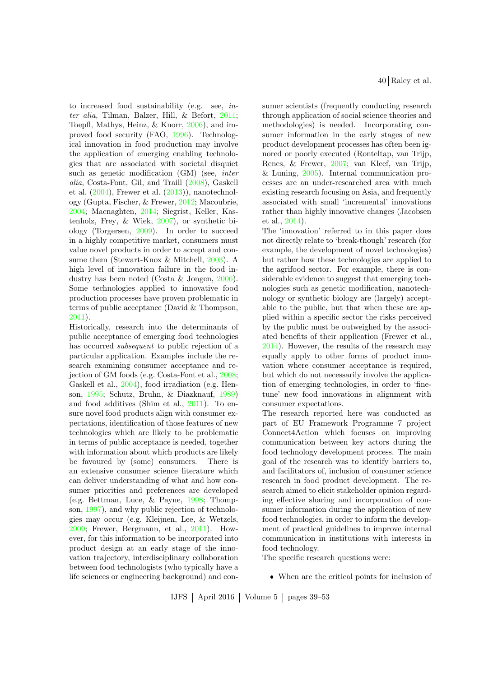to increased food sustainability (e.g. see, inter alia, Tilman, Balzer, Hill, & Befort, [2011;](#page-14-1) Toepfl, Mathys, Heinz, & Knorr, [2006\)](#page-14-2), and improved food security (FAO, [1996\)](#page-11-0). Technological innovation in food production may involve the application of emerging enabling technologies that are associated with societal disquiet such as genetic modification (GM) (see, inter alia, Costa-Font, Gil, and Traill [\(2008\)](#page-11-1), Gaskell et al.  $(2004)$ , Frewer et al.  $(2013)$ , nanotechnology (Gupta, Fischer, & Frewer, [2012;](#page-13-5) Macoubrie, [2004;](#page-13-6) Macnaghten, [2014;](#page-13-7) Siegrist, Keller, Kastenholz, Frey, & Wiek, [2007\)](#page-13-8), or synthetic biology (Torgersen, [2009\)](#page-14-3). In order to succeed in a highly competitive market, consumers must value novel products in order to accept and consume them (Stewart-Knox & Mitchell, [2003\)](#page-14-4). A high level of innovation failure in the food industry has been noted (Costa & Jongen, [2006\)](#page-11-2). Some technologies applied to innovative food production processes have proven problematic in terms of public acceptance (David & Thompson, [2011\)](#page-11-3).

Historically, research into the determinants of public acceptance of emerging food technologies has occurred subsequent to public rejection of a particular application. Examples include the research examining consumer acceptance and rejection of GM foods (e.g. Costa-Font et al., [2008;](#page-11-1) Gaskell et al., [2004\)](#page-13-3), food irradiation (e.g. Henson, [1995;](#page-13-9) Schutz, Bruhn, & Diazknauf, [1989\)](#page-13-10) and food additives (Shim et al., [2011\)](#page-13-11). To ensure novel food products align with consumer expectations, identification of those features of new technologies which are likely to be problematic in terms of public acceptance is needed, together with information about which products are likely be favoured by (some) consumers. There is an extensive consumer science literature which can deliver understanding of what and how consumer priorities and preferences are developed (e.g. Bettman, Luce, & Payne, [1998;](#page-11-4) Thompson, [1997\)](#page-14-5), and why public rejection of technologies may occur (e.g. Kleijnen, Lee, & Wetzels, [2009;](#page-13-12) Frewer, Bergmann, et al., [2011\)](#page-11-5). However, for this information to be incorporated into product design at an early stage of the innovation trajectory, interdisciplinary collaboration between food technologists (who typically have a life sciences or engineering background) and consumer scientists (frequently conducting research through application of social science theories and methodologies) is needed. Incorporating consumer information in the early stages of new product development processes has often been ignored or poorly executed (Ronteltap, van Trijp, Renes, & Frewer, [2007;](#page-13-13) van Kleef, van Trijp, & Luning, [2005\)](#page-14-6). Internal communication processes are an under-researched area with much existing research focusing on Asia, and frequently associated with small 'incremental' innovations rather than highly innovative changes (Jacobsen et al., [2014\)](#page-13-14).

The 'innovation' referred to in this paper does not directly relate to 'break-though' research (for example, the development of novel technologies) but rather how these technologies are applied to the agrifood sector. For example, there is considerable evidence to suggest that emerging technologies such as genetic modification, nanotechnology or synthetic biology are (largely) acceptable to the public, but that when these are applied within a specific sector the risks perceived by the public must be outweighed by the associated benefits of their application (Frewer et al., [2014\)](#page-11-6). However, the results of the research may equally apply to other forms of product innovation where consumer acceptance is required, but which do not necessarily involve the application of emerging technologies, in order to 'finetune' new food innovations in alignment with consumer expectations.

The research reported here was conducted as part of EU Framework Programme 7 project Connect4Action which focuses on improving communication between key actors during the food technology development process. The main goal of the research was to identify barriers to, and facilitators of, inclusion of consumer science research in food product development. The research aimed to elicit stakeholder opinion regarding effective sharing and incorporation of consumer information during the application of new food technologies, in order to inform the development of practical guidelines to improve internal communication in institutions with interests in food technology.

The specific research questions were:

When are the critical points for inclusion of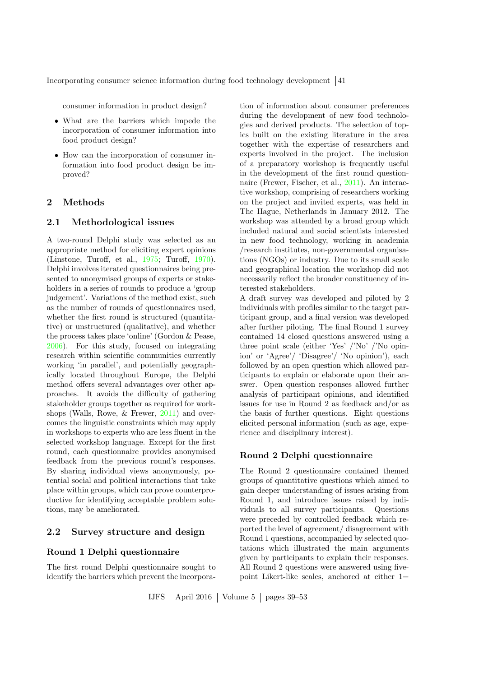consumer information in product design?

- What are the barriers which impede the incorporation of consumer information into food product design?
- How can the incorporation of consumer information into food product design be improved?

# 2 Methods

#### 2.1 Methodological issues

A two-round Delphi study was selected as an appropriate method for eliciting expert opinions (Linstone, Turoff, et al., [1975;](#page-13-15) Turoff, [1970\)](#page-14-7). Delphi involves iterated questionnaires being presented to anonymised groups of experts or stakeholders in a series of rounds to produce a 'group judgement'. Variations of the method exist, such as the number of rounds of questionnaires used, whether the first round is structured (quantitative) or unstructured (qualitative), and whether the process takes place 'online' (Gordon & Pease, [2006\)](#page-13-16). For this study, focused on integrating research within scientific communities currently working 'in parallel', and potentially geographically located throughout Europe, the Delphi method offers several advantages over other approaches. It avoids the difficulty of gathering stakeholder groups together as required for workshops (Walls, Rowe, & Frewer, [2011\)](#page-14-8) and overcomes the linguistic constraints which may apply in workshops to experts who are less fluent in the selected workshop language. Except for the first round, each questionnaire provides anonymised feedback from the previous round's responses. By sharing individual views anonymously, potential social and political interactions that take place within groups, which can prove counterproductive for identifying acceptable problem solutions, may be ameliorated.

# 2.2 Survey structure and design

#### Round 1 Delphi questionnaire

The first round Delphi questionnaire sought to identify the barriers which prevent the incorporation of information about consumer preferences during the development of new food technologies and derived products. The selection of topics built on the existing literature in the area together with the expertise of researchers and experts involved in the project. The inclusion of a preparatory workshop is frequently useful in the development of the first round questionnaire (Frewer, Fischer, et al., [2011\)](#page-11-7). An interactive workshop, comprising of researchers working on the project and invited experts, was held in The Hague, Netherlands in January 2012. The workshop was attended by a broad group which included natural and social scientists interested in new food technology, working in academia /research institutes, non-governmental organisations (NGOs) or industry. Due to its small scale and geographical location the workshop did not necessarily reflect the broader constituency of interested stakeholders.

A draft survey was developed and piloted by 2 individuals with profiles similar to the target participant group, and a final version was developed after further piloting. The final Round 1 survey contained 14 closed questions answered using a three point scale (either 'Yes' /'No' /'No opinion' or 'Agree'/ 'Disagree'/ 'No opinion'), each followed by an open question which allowed participants to explain or elaborate upon their answer. Open question responses allowed further analysis of participant opinions, and identified issues for use in Round 2 as feedback and/or as the basis of further questions. Eight questions elicited personal information (such as age, experience and disciplinary interest).

### Round 2 Delphi questionnaire

The Round 2 questionnaire contained themed groups of quantitative questions which aimed to gain deeper understanding of issues arising from Round 1, and introduce issues raised by individuals to all survey participants. Questions were preceded by controlled feedback which reported the level of agreement/ disagreement with Round 1 questions, accompanied by selected quotations which illustrated the main arguments given by participants to explain their responses. All Round 2 questions were answered using fivepoint Likert-like scales, anchored at either  $1=$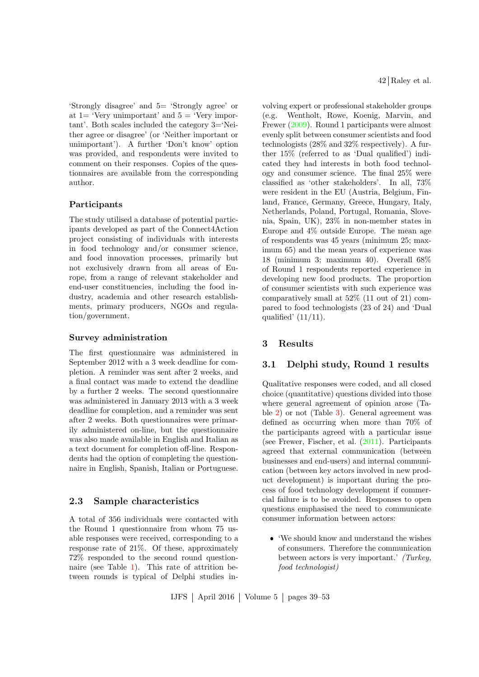'Strongly disagree' and 5= 'Strongly agree' or at  $1=$  'Very unimportant' and  $5=$  'Very important'. Both scales included the category 3='Neither agree or disagree' (or 'Neither important or unimportant'). A further 'Don't know' option was provided, and respondents were invited to comment on their responses. Copies of the questionnaires are available from the corresponding author.

# Participants

The study utilised a database of potential participants developed as part of the Connect4Action project consisting of individuals with interests in food technology and/or consumer science, and food innovation processes, primarily but not exclusively drawn from all areas of Europe, from a range of relevant stakeholder and end-user constituencies, including the food industry, academia and other research establishments, primary producers, NGOs and regulation/government.

#### Survey administration

The first questionnaire was administered in September 2012 with a 3 week deadline for completion. A reminder was sent after 2 weeks, and a final contact was made to extend the deadline by a further 2 weeks. The second questionnaire was administered in January 2013 with a 3 week deadline for completion, and a reminder was sent after 2 weeks. Both questionnaires were primarily administered on-line, but the questionnaire was also made available in English and Italian as a text document for completion off-line. Respondents had the option of completing the questionnaire in English, Spanish, Italian or Portuguese.

### 2.3 Sample characteristics

A total of 356 individuals were contacted with the Round 1 questionnaire from whom 75 usable responses were received, corresponding to a response rate of 21%. Of these, approximately 72% responded to the second round questionnaire (see Table [1\)](#page-4-0). This rate of attrition between rounds is typical of Delphi studies in42 Raley et al.

volving expert or professional stakeholder groups (e.g. Wentholt, Rowe, Koenig, Marvin, and Frewer [\(2009\)](#page-14-9). Round 1 participants were almost evenly split between consumer scientists and food technologists (28% and 32% respectively). A further 15% (referred to as 'Dual qualified') indicated they had interests in both food technology and consumer science. The final 25% were classified as 'other stakeholders'. In all, 73% were resident in the EU (Austria, Belgium, Finland, France, Germany, Greece, Hungary, Italy, Netherlands, Poland, Portugal, Romania, Slovenia, Spain, UK), 23% in non-member states in Europe and 4% outside Europe. The mean age of respondents was 45 years (minimum 25; maximum 65) and the mean years of experience was 18 (minimum 3; maximum 40). Overall 68% of Round 1 respondents reported experience in developing new food products. The proportion of consumer scientists with such experience was comparatively small at 52% (11 out of 21) compared to food technologists (23 of 24) and 'Dual qualified'  $(11/11)$ .

### 3 Results

### 3.1 Delphi study, Round 1 results

Qualitative responses were coded, and all closed choice (quantitative) questions divided into those where general agreement of opinion arose (Table [2\)](#page-5-0) or not (Table [3\)](#page-5-1). General agreement was defined as occurring when more than 70% of the participants agreed with a particular issue (see Frewer, Fischer, et al. [\(2011\)](#page-11-7). Participants agreed that external communication (between businesses and end-users) and internal communication (between key actors involved in new product development) is important during the process of food technology development if commercial failure is to be avoided. Responses to open questions emphasised the need to communicate consumer information between actors:

 'We should know and understand the wishes of consumers. Therefore the communication between actors is very important.' (Turkey, food technologist)

IJFS April 2016 Volume 5 pages 39–53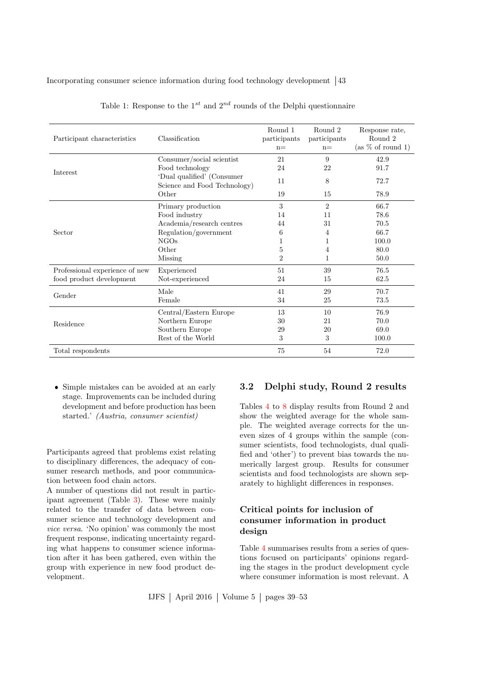| Participant characteristics    | Classification                                             | Round 1<br>participants<br>$n =$ | Round 2<br>participants<br>$n=$ | Response rate,<br>Round 2<br>(as % of round 1) |
|--------------------------------|------------------------------------------------------------|----------------------------------|---------------------------------|------------------------------------------------|
|                                | Consumer/social scientist                                  | 21                               | 9                               | 42.9                                           |
| Interest                       | Food technology                                            | 24                               | 22                              | 91.7                                           |
|                                | 'Dual qualified' (Consumer<br>Science and Food Technology) | 11                               | 8                               | 72.7                                           |
|                                | Other                                                      | 19                               | 15                              | 78.9                                           |
|                                | Primary production                                         | 3                                | $\overline{2}$                  | 66.7                                           |
|                                | Food industry                                              | 14                               | 11                              | 78.6                                           |
|                                | Academia/research centres                                  | 44                               | 31                              | 70.5                                           |
| Sector                         | Regulation/government                                      | 6                                | 4                               | 66.7                                           |
|                                | NGOs                                                       | 1                                | 1                               | 100.0                                          |
|                                | Other                                                      | 5                                | $\overline{4}$                  | 80.0                                           |
|                                | Missing                                                    | $\overline{2}$                   | 1                               | 50.0                                           |
| Professional experience of new | Experienced                                                | 51                               | 39                              | 76.5                                           |
| food product development       | Not-experienced                                            | 24                               | 15                              | 62.5                                           |
| Gender                         | Male                                                       | 41                               | 29                              | 70.7                                           |
|                                | Female                                                     | 34                               | 25                              | 73.5                                           |
|                                | Central/Eastern Europe                                     | 13                               | 10                              | 76.9                                           |
| Residence                      | Northern Europe                                            | 30                               | 21                              | 70.0                                           |
|                                | Southern Europe                                            | 29                               | 20                              | 69.0                                           |
|                                | Rest of the World                                          | 3                                | 3                               | 100.0                                          |
| Total respondents              |                                                            | 75                               | 54                              | 72.0                                           |

<span id="page-4-0"></span>Table 1: Response to the  $1^{st}$  and  $2^{nd}$  rounds of the Delphi questionnaire

 Simple mistakes can be avoided at an early stage. Improvements can be included during development and before production has been started.' (Austria, consumer scientist)

Participants agreed that problems exist relating to disciplinary differences, the adequacy of consumer research methods, and poor communication between food chain actors.

A number of questions did not result in participant agreement (Table [3\)](#page-5-1). These were mainly related to the transfer of data between consumer science and technology development and vice versa. 'No opinion' was commonly the most frequent response, indicating uncertainty regarding what happens to consumer science information after it has been gathered, even within the group with experience in new food product development.

# 3.2 Delphi study, Round 2 results

Tables [4](#page-6-0) to [8](#page-9-0) display results from Round 2 and show the weighted average for the whole sample. The weighted average corrects for the uneven sizes of 4 groups within the sample (consumer scientists, food technologists, dual qualified and 'other') to prevent bias towards the numerically largest group. Results for consumer scientists and food technologists are shown separately to highlight differences in responses.

# Critical points for inclusion of consumer information in product design

Table [4](#page-6-0) summarises results from a series of questions focused on participants' opinions regarding the stages in the product development cycle where consumer information is most relevant. A

IJFS April 2016 Volume 5 pages 39–53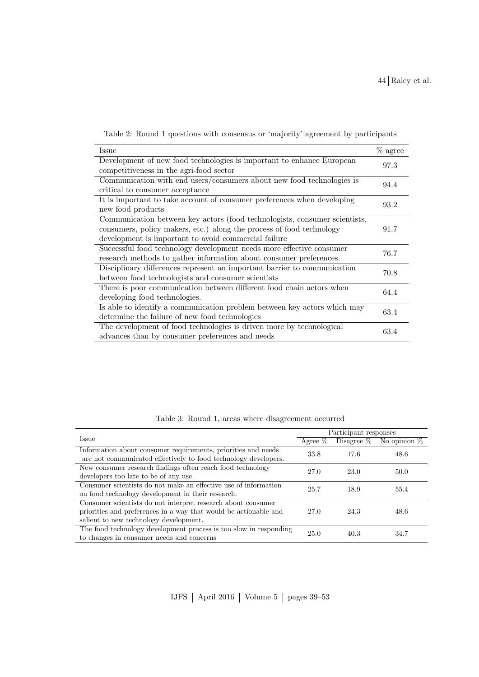<span id="page-5-0"></span>

|  |  | Table 2: Round 1 questions with consensus or 'majority' agreement by participants |  |  |  |
|--|--|-----------------------------------------------------------------------------------|--|--|--|
|  |  |                                                                                   |  |  |  |

| % agree<br>Issue<br>Development of new food technologies is important to enhance European<br>97.3<br>competitiveness in the agri-food sector |  |
|----------------------------------------------------------------------------------------------------------------------------------------------|--|
|                                                                                                                                              |  |
|                                                                                                                                              |  |
|                                                                                                                                              |  |
| Communication with end users/consumers about new food technologies is<br>94.4                                                                |  |
| critical to consumer acceptance                                                                                                              |  |
| It is important to take account of consumer preferences when developing<br>93.2                                                              |  |
| new food products                                                                                                                            |  |
| Communication between key actors (food technologists, consumer scientists,                                                                   |  |
| consumers, policy makers, etc.) along the process of food technology<br>91.7                                                                 |  |
| development is important to avoid commercial failure                                                                                         |  |
| Successful food technology development needs more effective consumer<br>76.7                                                                 |  |
| research methods to gather information about consumer preferences.                                                                           |  |
| Disciplinary differences represent an important barrier to communication<br>70.8                                                             |  |
| between food technologists and consumer scientists                                                                                           |  |
| There is poor communication between different food chain actors when<br>64.4                                                                 |  |
| developing food technologies.                                                                                                                |  |
| Is able to identify a communication problem between key actors which may                                                                     |  |
| 63.4<br>determine the failure of new food technologies                                                                                       |  |
| The development of food technologies is driven more by technological                                                                         |  |
| 63.4<br>advances than by consumer preferences and needs                                                                                      |  |

<span id="page-5-1"></span>

|  |  |  |  |  | Table 3: Round 1, areas where disagreement occurred |  |
|--|--|--|--|--|-----------------------------------------------------|--|
|--|--|--|--|--|-----------------------------------------------------|--|

|                                                                   | Participant responses |      |                               |  |  |  |
|-------------------------------------------------------------------|-----------------------|------|-------------------------------|--|--|--|
| <b>Issue</b>                                                      | Agree $\%$            |      | Disagree $\%$ No opinion $\%$ |  |  |  |
| Information about consumer requirements, priorities and needs     | 33.8                  | 17.6 | 48.6                          |  |  |  |
| are not communicated effectively to food technology developers.   |                       |      |                               |  |  |  |
| New consumer research findings often reach food technology        | 27.0                  | 23.0 | 50.0                          |  |  |  |
| developers too late to be of any use                              |                       |      |                               |  |  |  |
| Consumer scientists do not make an effective use of information   | 25.7                  | 18.9 | 55.4                          |  |  |  |
| on food technology development in their research.                 |                       |      |                               |  |  |  |
| Consumer scientists do not interpret research about consumer      |                       |      |                               |  |  |  |
| priorities and preferences in a way that would be actionable and  | 27.0                  | 24.3 | 48.6                          |  |  |  |
| salient to new technology development.                            |                       |      |                               |  |  |  |
| The food technology development process is too slow in responding | 25.0                  | 40.3 | 34.7                          |  |  |  |
| to changes in consumer needs and concerns                         |                       |      |                               |  |  |  |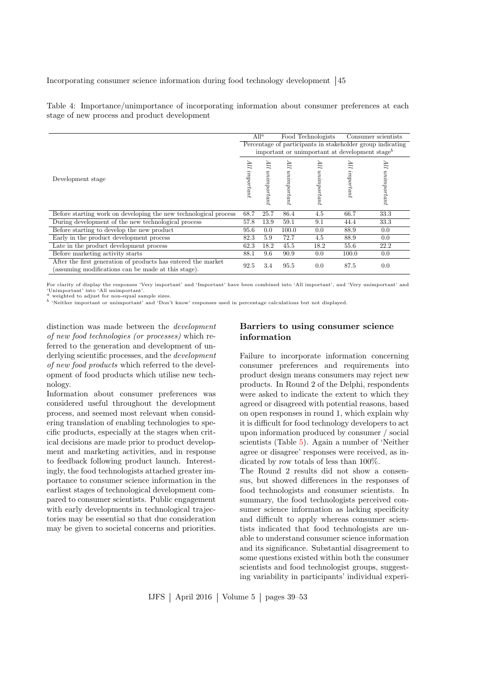<span id="page-6-0"></span>Table 4: Importance/unimportance of incorporating information about consumer preferences at each stage of new process and product development

|                                                                                                                      |                                                            | $All^a$           |                   | Food Technologists |                  | Consumer scientists |  |  |  |  |
|----------------------------------------------------------------------------------------------------------------------|------------------------------------------------------------|-------------------|-------------------|--------------------|------------------|---------------------|--|--|--|--|
|                                                                                                                      | Percentage of participants in stakeholder group indicating |                   |                   |                    |                  |                     |  |  |  |  |
|                                                                                                                      | important or unimportant at development stage <sup>b</sup> |                   |                   |                    |                  |                     |  |  |  |  |
| Development stage                                                                                                    | 11Р<br>important                                           | ПF<br>unimportant | ПP<br>unimportant | 117<br>unimportant | 11F<br>important | 11Р<br>unimportant  |  |  |  |  |
|                                                                                                                      |                                                            |                   |                   |                    |                  |                     |  |  |  |  |
| Before starting work on developing the new technological process                                                     | 68.7                                                       | 25.7              | 86.4              | 4.5                | 66.7             | 33.3                |  |  |  |  |
| During development of the new technological process                                                                  | 57.8                                                       | 13.9              | 59.1              | 9.1                | 44.4             | 33.3                |  |  |  |  |
| Before starting to develop the new product                                                                           | 95.6                                                       | $0.0\,$           | 100.0             | 0.0                | 88.9             | 0.0                 |  |  |  |  |
| Early in the product development process                                                                             | 82.3                                                       | 5.9               | 72.7              | 4.5                | 88.9             | 0.0                 |  |  |  |  |
| Late in the product development process                                                                              | 62.3                                                       | 18.2              | 45.5              | 18.2               | 55.6             | 22.2                |  |  |  |  |
| Before marketing activity starts                                                                                     | 88.1                                                       | 9.6               | 90.9              | 0.0                | 100.0            | 0.0                 |  |  |  |  |
| After the first generation of products has entered the market<br>(assuming modifications can be made at this stage). | 92.5                                                       | 3.4               | 95.5              | 0.0                | 87.5             | 0.0                 |  |  |  |  |

For clarity of display the responses 'Very important' and 'Important' have been combined into 'All important', and 'Very unimportant' and 'Unimportant' into 'All unimportant'. <sup>a</sup> weighted to adjust for non-equal sample sizes.

b 'Neither important or unimportant' and 'Don't know' responses used in percentage calculations but not displayed.

distinction was made between the development of new food technologies (or processes) which referred to the generation and development of underlying scientific processes, and the *development* of new food products which referred to the development of food products which utilise new technology.

Information about consumer preferences was considered useful throughout the development process, and seemed most relevant when considering translation of enabling technologies to specific products, especially at the stages when critical decisions are made prior to product development and marketing activities, and in response to feedback following product launch. Interestingly, the food technologists attached greater importance to consumer science information in the earliest stages of technological development compared to consumer scientists. Public engagement with early developments in technological trajectories may be essential so that due consideration may be given to societal concerns and priorities.

# Barriers to using consumer science information

Failure to incorporate information concerning consumer preferences and requirements into product design means consumers may reject new products. In Round 2 of the Delphi, respondents were asked to indicate the extent to which they agreed or disagreed with potential reasons, based on open responses in round 1, which explain why it is difficult for food technology developers to act upon information produced by consumer / social scientists (Table [5\)](#page-8-0). Again a number of 'Neither agree or disagree' responses were received, as indicated by row totals of less than 100%.

The Round 2 results did not show a consensus, but showed differences in the responses of food technologists and consumer scientists. In summary, the food technologists perceived consumer science information as lacking specificity and difficult to apply whereas consumer scientists indicated that food technologists are unable to understand consumer science information and its significance. Substantial disagreement to some questions existed within both the consumer scientists and food technologist groups, suggesting variability in participants' individual experi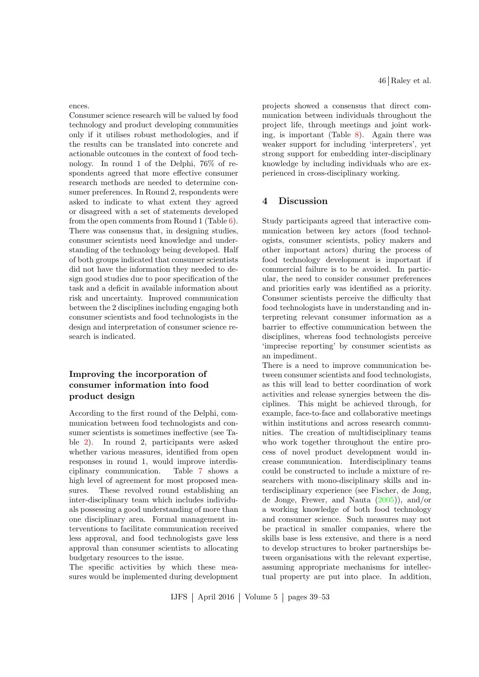ences.

Consumer science research will be valued by food technology and product developing communities only if it utilises robust methodologies, and if the results can be translated into concrete and actionable outcomes in the context of food technology. In round 1 of the Delphi, 76% of respondents agreed that more effective consumer research methods are needed to determine consumer preferences. In Round 2, respondents were asked to indicate to what extent they agreed or disagreed with a set of statements developed from the open comments from Round 1 (Table  $6$ ). There was consensus that, in designing studies, consumer scientists need knowledge and understanding of the technology being developed. Half of both groups indicated that consumer scientists did not have the information they needed to design good studies due to poor specification of the task and a deficit in available information about risk and uncertainty. Improved communication between the 2 disciplines including engaging both consumer scientists and food technologists in the design and interpretation of consumer science research is indicated.

# Improving the incorporation of consumer information into food product design

According to the first round of the Delphi, communication between food technologists and consumer scientists is sometimes ineffective (see Table [2\)](#page-5-0). In round 2, participants were asked whether various measures, identified from open responses in round 1, would improve interdisciplinary communication. Table [7](#page-9-1) shows a high level of agreement for most proposed measures. These revolved round establishing an inter-disciplinary team which includes individuals possessing a good understanding of more than one disciplinary area. Formal management interventions to facilitate communication received less approval, and food technologists gave less approval than consumer scientists to allocating budgetary resources to the issue.

The specific activities by which these measures would be implemented during development 46 Raley et al.

projects showed a consensus that direct communication between individuals throughout the project life, through meetings and joint working, is important (Table [8\)](#page-9-0). Again there was weaker support for including 'interpreters', yet strong support for embedding inter-disciplinary knowledge by including individuals who are experienced in cross-disciplinary working.

### 4 Discussion

Study participants agreed that interactive communication between key actors (food technologists, consumer scientists, policy makers and other important actors) during the process of food technology development is important if commercial failure is to be avoided. In particular, the need to consider consumer preferences and priorities early was identified as a priority. Consumer scientists perceive the difficulty that food technologists have in understanding and interpreting relevant consumer information as a barrier to effective communication between the disciplines, whereas food technologists perceive 'imprecise reporting' by consumer scientists as an impediment.

There is a need to improve communication between consumer scientists and food technologists, as this will lead to better coordination of work activities and release synergies between the disciplines. This might be achieved through, for example, face-to-face and collaborative meetings within institutions and across research communities. The creation of multidisciplinary teams who work together throughout the entire process of novel product development would increase communication. Interdisciplinary teams could be constructed to include a mixture of researchers with mono-disciplinary skills and interdisciplinary experience (see Fischer, de Jong, de Jonge, Frewer, and Nauta [\(2005\)](#page-11-8)), and/or a working knowledge of both food technology and consumer science. Such measures may not be practical in smaller companies, where the skills base is less extensive, and there is a need to develop structures to broker partnerships between organisations with the relevant expertise, assuming appropriate mechanisms for intellectual property are put into place. In addition,

IJFS April 2016 Volume 5 pages 39–53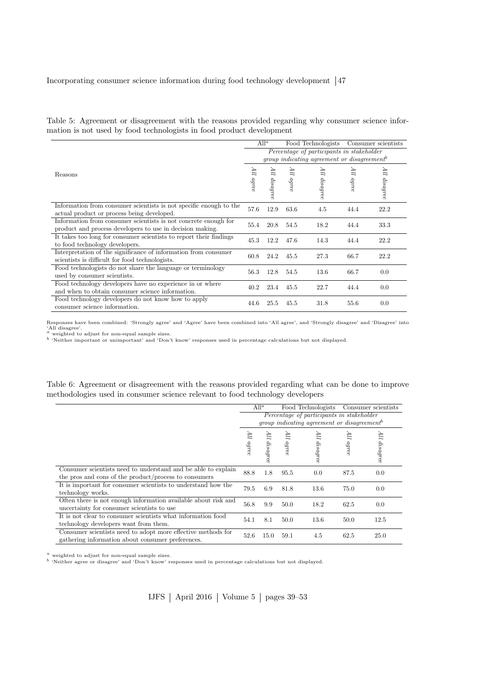<span id="page-8-0"></span>Table 5: Agreement or disagreement with the reasons provided regarding why consumer science information is not used by food technologists in food product development

|                                                                    | $All^a$<br>Food Technologists<br>Consumer scientists      |           |       |                   |       |              |  |  |  |  |
|--------------------------------------------------------------------|-----------------------------------------------------------|-----------|-------|-------------------|-------|--------------|--|--|--|--|
|                                                                    | Percentage of participants in stakeholder                 |           |       |                   |       |              |  |  |  |  |
|                                                                    | $qroup$ indicating agreement or disagreement <sup>b</sup> |           |       |                   |       |              |  |  |  |  |
| Reasons                                                            | 11F                                                       | 11V       | 11F   | ПF                | ПP    |              |  |  |  |  |
|                                                                    | agree                                                     |           | agree | $\emph{disagree}$ | agree | All disagree |  |  |  |  |
|                                                                    |                                                           | dis agree |       |                   |       |              |  |  |  |  |
|                                                                    |                                                           |           |       |                   |       |              |  |  |  |  |
| Information from consumer scientists is not specific enough to the | 57.6                                                      | 12.9      | 63.6  | 4.5               | 44.4  | 22.2         |  |  |  |  |
| actual product or process being developed.                         |                                                           |           |       |                   |       |              |  |  |  |  |
| Information from consumer scientists is not concrete enough for    | 55.4                                                      | 20.8      | 54.5  | 18.2              | 44.4  | 33.3         |  |  |  |  |
| product and process developers to use in decision making.          |                                                           |           |       |                   |       |              |  |  |  |  |
| It takes too long for consumer scientists to report their findings | 45.3                                                      | 12.2      | 47.6  | 14.3              | 44.4  | 22.2         |  |  |  |  |
| to food technology developers.                                     |                                                           |           |       |                   |       |              |  |  |  |  |
| Interpretation of the significance of information from consumer    | 60.8                                                      | 24.2      | 45.5  | 27.3              | 66.7  | 22.2         |  |  |  |  |
| scientists is difficult for food technologists.                    |                                                           |           |       |                   |       |              |  |  |  |  |
| Food technologists do not share the language or terminology        | 56.3                                                      | 12.8      | 54.5  | 13.6              | 66.7  | 0.0          |  |  |  |  |
| used by consumer scientists.                                       |                                                           |           |       |                   |       |              |  |  |  |  |
| Food technology developers have no experience in or where          | 40.2                                                      | 23.4      | 45.5  | 22.7              | 44.4  | 0.0          |  |  |  |  |
| and when to obtain consumer science information.                   |                                                           |           |       |                   |       |              |  |  |  |  |
| Food technology developers do not know how to apply                | 44.6                                                      | 25.5      | 45.5  | 31.8              | 55.6  | 0.0          |  |  |  |  |
| consumer science information.                                      |                                                           |           |       |                   |       |              |  |  |  |  |

Responses have been combined: 'Strongly agree' and 'Agree' have been combined into 'All agree', and 'Strongly disagree' and 'Disagree' into 'All disagree'. <sup>a</sup> weighted to adjust for non-equal sample sizes.

<sup>b</sup> 'Neither important or unimportant' and 'Don't know' responses used in percentage calculations but not displayed.

<span id="page-8-1"></span>Table 6: Agreement or disagreement with the reasons provided regarding what can be done to improve methodologies used in consumer science relevant to food technology developers

|                                                                                                                        | $All^a$<br>Food Technologists                                                                               |                              |             |                 |                         | Consumer scientists |
|------------------------------------------------------------------------------------------------------------------------|-------------------------------------------------------------------------------------------------------------|------------------------------|-------------|-----------------|-------------------------|---------------------|
|                                                                                                                        | Percentage of participants in stakeholder<br><i>group indicating agreement or disagreement</i> <sup>b</sup> |                              |             |                 |                         |                     |
|                                                                                                                        | ПF<br>agree                                                                                                 | $\overline{\mu}$<br>disagree | ПF<br>agree | 11F<br>disagree | $\overline{m}$<br>agree | 11F<br>$i$ disagree |
| Consumer scientists need to understand and be able to explain<br>the pros and cons of the product/process to consumers | 88.8                                                                                                        | 1.8                          | 95.5        | 0.0             | 87.5                    | 0.0                 |
| It is important for consumer scientists to understand how the<br>technology works.                                     | 79.5                                                                                                        | 6.9                          | 81.8        | 13.6            | 75.0                    | 0.0                 |
| Often there is not enough information available about risk and<br>uncertainty for consumer scientists to use           | 56.8                                                                                                        | 9.9                          | 50.0        | 18.2            | 62.5                    | 0.0                 |
| It is not clear to consumer scientists what information food<br>technology developers want from them.                  | 54.1                                                                                                        | 8.1                          | 50.0        | 13.6            | 50.0                    | 12.5                |
| Consumer scientists need to adopt more effective methods for<br>gathering information about consumer preferences.      | 52.6                                                                                                        | 15.0                         | 59.1        | 4.5             | 62.5                    | 25.0                |

 $^{\,a}$  weighted to adjust for non-equal sample sizes.

<sup>b</sup> 'Neither agree or disagree' and 'Don't know' responses used in percentage calculations but not displayed.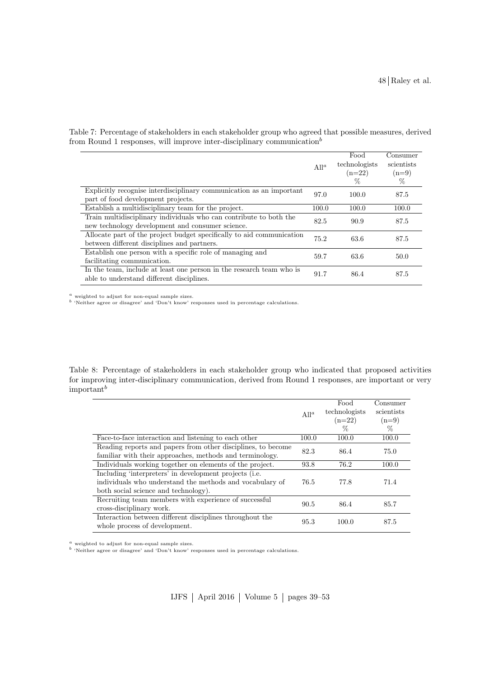|                                                                                                                        | All <sup><math>a</math></sup> | Food<br>technologists<br>$(n=22)$<br>% | Consumer<br>scientists<br>$(n=9)$<br>$\%$ |
|------------------------------------------------------------------------------------------------------------------------|-------------------------------|----------------------------------------|-------------------------------------------|
| Explicitly recognise interdisciplinary communication as an important<br>part of food development projects.             | 97.0                          | 100.0                                  | 87.5                                      |
| Establish a multidisciplinary team for the project.                                                                    | 100.0                         | 100.0                                  | 100.0                                     |
| Train multidisciplinary individuals who can contribute to both the<br>new technology development and consumer science. | 82.5                          | 90.9                                   | 87.5                                      |
| Allocate part of the project budget specifically to aid communication<br>between different disciplines and partners.   | 75.2                          | 63.6                                   | 87.5                                      |
| Establish one person with a specific role of managing and<br>facilitating communication.                               | 59.7                          | 63.6                                   | 50.0                                      |
| In the team, include at least one person in the research team who is<br>able to understand different disciplines.      | 91.7                          | 86.4                                   | 87.5                                      |

<span id="page-9-1"></span>Table 7: Percentage of stakeholders in each stakeholder group who agreed that possible measures, derived from Round 1 responses, will improve inter-disciplinary communication<sup>b</sup>

 $a$  weighted to adjust for non-equal sample sizes.

<sup>b</sup> 'Neither agree or disagree' and 'Don't know' responses used in percentage calculations.

<span id="page-9-0"></span>Table 8: Percentage of stakeholders in each stakeholder group who indicated that proposed activities for improving inter-disciplinary communication, derived from Round 1 responses, are important or very  $important<sup>b</sup>$ 

|                                                                                                                                                            |         | Food          | Consumer   |
|------------------------------------------------------------------------------------------------------------------------------------------------------------|---------|---------------|------------|
|                                                                                                                                                            | $All^a$ | technologists | scientists |
|                                                                                                                                                            |         | $(n=22)$      | $(n=9)$    |
|                                                                                                                                                            |         | $\%$          | $\%$       |
| Face-to-face interaction and listening to each other                                                                                                       | 100.0   | 100.0         | 100.0      |
| Reading reports and papers from other disciplines, to become<br>familiar with their approaches, methods and terminology.                                   | 82.3    | 86.4          | 75.0       |
| Individuals working together on elements of the project.                                                                                                   | 93.8    | 76.2          | 100.0      |
| Including 'interpreters' in development projects (i.e.<br>individuals who understand the methods and vocabulary of<br>both social science and technology). | 76.5    | 77.8          | 71.4       |
| Recruiting team members with experience of successful<br>cross-disciplinary work.                                                                          | 90.5    | 86.4          | 85.7       |
| Interaction between different disciplines throughout the<br>whole process of development.                                                                  | 95.3    | 100.0         | 87.5       |

 $a$  weighted to adjust for non-equal sample sizes.<br> $b$  'Neither agree or disagree' and 'Don't know' responses used in percentage calculations.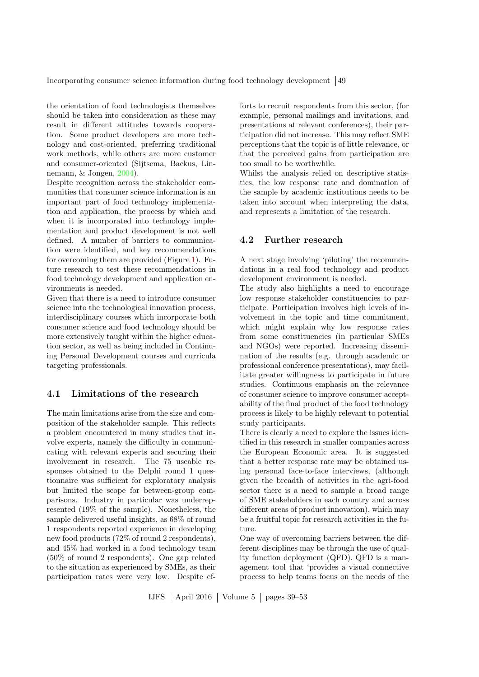the orientation of food technologists themselves should be taken into consideration as these may result in different attitudes towards cooperation. Some product developers are more technology and cost-oriented, preferring traditional work methods, while others are more customer and consumer-oriented (Sijtsema, Backus, Linnemann, & Jongen, [2004\)](#page-13-17).

Despite recognition across the stakeholder communities that consumer science information is an important part of food technology implementation and application, the process by which and when it is incorporated into technology implementation and product development is not well defined. A number of barriers to communication were identified, and key recommendations for overcoming them are provided (Figure [1\)](#page-12-0). Future research to test these recommendations in food technology development and application environments is needed.

Given that there is a need to introduce consumer science into the technological innovation process, interdisciplinary courses which incorporate both consumer science and food technology should be more extensively taught within the higher education sector, as well as being included in Continuing Personal Development courses and curricula targeting professionals.

# 4.1 Limitations of the research

The main limitations arise from the size and composition of the stakeholder sample. This reflects a problem encountered in many studies that involve experts, namely the difficulty in communicating with relevant experts and securing their involvement in research. The 75 useable responses obtained to the Delphi round 1 questionnaire was sufficient for exploratory analysis but limited the scope for between-group comparisons. Industry in particular was underrepresented (19% of the sample). Nonetheless, the sample delivered useful insights, as 68% of round 1 respondents reported experience in developing new food products (72% of round 2 respondents), and 45% had worked in a food technology team (50% of round 2 respondents). One gap related to the situation as experienced by SMEs, as their participation rates were very low. Despite efforts to recruit respondents from this sector, (for example, personal mailings and invitations, and presentations at relevant conferences), their participation did not increase. This may reflect SME perceptions that the topic is of little relevance, or that the perceived gains from participation are too small to be worthwhile.

Whilst the analysis relied on descriptive statistics, the low response rate and domination of the sample by academic institutions needs to be taken into account when interpreting the data, and represents a limitation of the research.

# 4.2 Further research

A next stage involving 'piloting' the recommendations in a real food technology and product development environment is needed.

The study also highlights a need to encourage low response stakeholder constituencies to participate. Participation involves high levels of involvement in the topic and time commitment, which might explain why low response rates from some constituencies (in particular SMEs and NGOs) were reported. Increasing dissemination of the results (e.g. through academic or professional conference presentations), may facilitate greater willingness to participate in future studies. Continuous emphasis on the relevance of consumer science to improve consumer acceptability of the final product of the food technology process is likely to be highly relevant to potential study participants.

There is clearly a need to explore the issues identified in this research in smaller companies across the European Economic area. It is suggested that a better response rate may be obtained using personal face-to-face interviews, (although given the breadth of activities in the agri-food sector there is a need to sample a broad range of SME stakeholders in each country and across different areas of product innovation), which may be a fruitful topic for research activities in the future.

One way of overcoming barriers between the different disciplines may be through the use of quality function deployment (QFD). QFD is a management tool that 'provides a visual connective process to help teams focus on the needs of the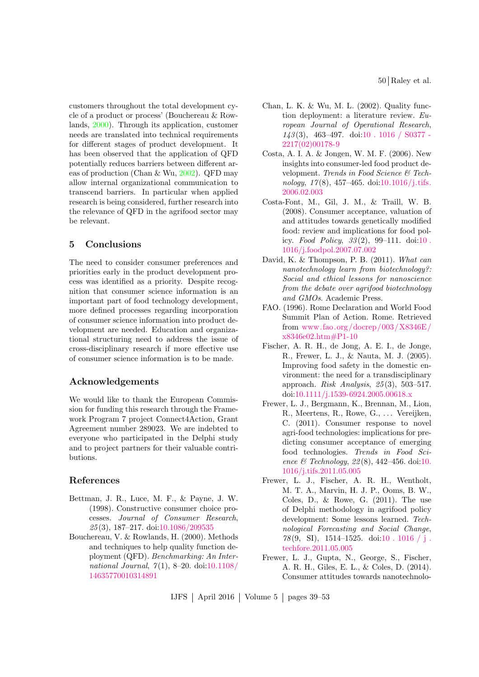50 Raley et al.

customers throughout the total development cycle of a product or process' (Bouchereau & Rowlands, [2000\)](#page-11-9). Through its application, customer needs are translated into technical requirements for different stages of product development. It has been observed that the application of QFD potentially reduces barriers between different areas of production (Chan & Wu, [2002\)](#page-11-10). QFD may allow internal organizational communication to transcend barriers. In particular when applied research is being considered, further research into the relevance of QFD in the agrifood sector may be relevant.

# 5 Conclusions

The need to consider consumer preferences and priorities early in the product development process was identified as a priority. Despite recognition that consumer science information is an important part of food technology development, more defined processes regarding incorporation of consumer science information into product development are needed. Education and organizational structuring need to address the issue of cross-disciplinary research if more effective use of consumer science information is to be made.

# Acknowledgements

We would like to thank the European Commission for funding this research through the Framework Program 7 project Connect4Action, Grant Agreement number 289023. We are indebted to everyone who participated in the Delphi study and to project partners for their valuable contributions.

# References

- <span id="page-11-4"></span>Bettman, J. R., Luce, M. F., & Payne, J. W. (1998). Constructive consumer choice processes. Journal of Consumer Research, 25 (3), 187–217. doi[:10.1086/209535](http://dx.doi.org/10.1086/209535)
- <span id="page-11-9"></span>Bouchereau, V. & Rowlands, H. (2000). Methods and techniques to help quality function deployment (QFD). Benchmarking: An International Journal,  $7(1)$ , 8-20. doi[:10.1108/](http://dx.doi.org/10.1108/14635770010314891) [14635770010314891](http://dx.doi.org/10.1108/14635770010314891)
- <span id="page-11-10"></span>Chan, L. K. & Wu, M. L. (2002). Quality function deployment: a literature review. European Journal of Operational Research,  $143(3)$ , 463-497. doi[:10 . 1016 / S0377 -](http://dx.doi.org/10.1016/S0377-2217(02)00178-9) [2217\(02\)00178-9](http://dx.doi.org/10.1016/S0377-2217(02)00178-9)
- <span id="page-11-2"></span>Costa, A. I. A. & Jongen, W. M. F. (2006). New insights into consumer-led food product development. Trends in Food Science & Technology,  $17(8)$ ,  $457-465$ , doi: $10.1016$ /j.tifs. [2006.02.003](http://dx.doi.org/10.1016/j.tifs.2006.02.003)
- <span id="page-11-1"></span>Costa-Font, M., Gil, J. M., & Traill, W. B. (2008). Consumer acceptance, valuation of and attitudes towards genetically modified food: review and implications for food policy. Food Policy,  $33(2)$ ,  $99-111$ . doi:10. [1016/j.foodpol.2007.07.002](http://dx.doi.org/10.1016/j.foodpol.2007.07.002)
- <span id="page-11-3"></span>David, K. & Thompson, P. B. (2011). What can nanotechnology learn from biotechnology?: Social and ethical lessons for nanoscience from the debate over agrifood biotechnology and GMOs. Academic Press.
- <span id="page-11-0"></span>FAO. (1996). Rome Declaration and World Food Summit Plan of Action. Rome. Retrieved from [www. fao.org/docrep/003/X8346E/](www.fao.org/docrep/003/X8346E/x8346e02.htm#P1-10) [x8346e02.htm#P1-10](www.fao.org/docrep/003/X8346E/x8346e02.htm#P1-10)
- <span id="page-11-8"></span>Fischer, A. R. H., de Jong, A. E. I., de Jonge, R., Frewer, L. J., & Nauta, M. J. (2005). Improving food safety in the domestic environment: the need for a transdisciplinary approach. Risk Analysis,  $25(3)$ , 503-517. doi[:10.1111/j.1539-6924.2005.00618.x](http://dx.doi.org/10.1111/j.1539-6924.2005.00618.x)
- <span id="page-11-5"></span>Frewer, L. J., Bergmann, K., Brennan, M., Lion, R., Meertens, R., Rowe, G., . . . Vereijken, C. (2011). Consumer response to novel agri-food technologies: implications for predicting consumer acceptance of emerging food technologies. Trends in Food Science & Technology,  $22(8)$ , 442-456. doi[:10.](http://dx.doi.org/10.1016/j.tifs.2011.05.005) [1016/j.tifs.2011.05.005](http://dx.doi.org/10.1016/j.tifs.2011.05.005)
- <span id="page-11-7"></span>Frewer, L. J., Fischer, A. R. H., Wentholt, M. T. A., Marvin, H. J. P., Ooms, B. W., Coles, D., & Rowe, G. (2011). The use of Delphi methodology in agrifood policy development: Some lessons learned. Technological Forecasting and Social Change, 78 $(9, S1), 1514-1525.$  doi:10 . 1016 / j. [techfore.2011.05.005](http://dx.doi.org/10.1016/j.techfore.2011.05.005)
- <span id="page-11-6"></span>Frewer, L. J., Gupta, N., George, S., Fischer, A. R. H., Giles, E. L., & Coles, D. (2014). Consumer attitudes towards nanotechnolo-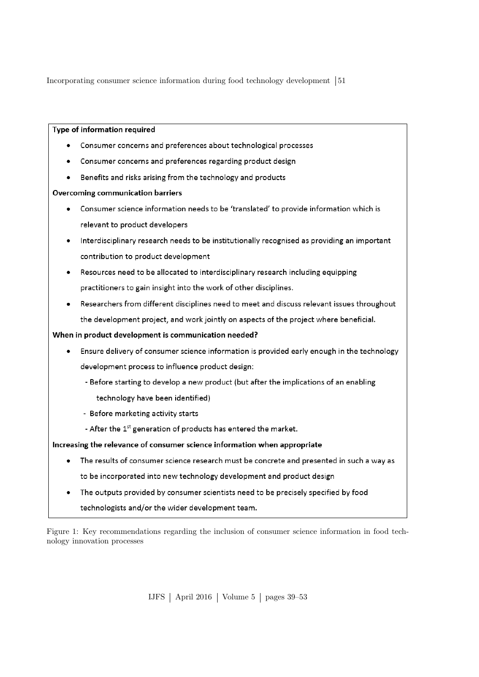# Type of information required

- Consumer concerns and preferences about technological processes
- Consumer concerns and preferences regarding product design  $\bullet$
- Benefits and risks arising from the technology and products  $\bullet$

# **Overcoming communication barriers**

- Consumer science information needs to be 'translated' to provide information which is relevant to product developers
- Interdisciplinary research needs to be institutionally recognised as providing an important contribution to product development
- Resources need to be allocated to interdisciplinary research including equipping practitioners to gain insight into the work of other disciplines.
- Researchers from different disciplines need to meet and discuss relevant issues throughout the development project, and work jointly on aspects of the project where beneficial.

# When in product development is communication needed?

- Ensure delivery of consumer science information is provided early enough in the technology development process to influence product design:
	- Before starting to develop a new product (but after the implications of an enabling technology have been identified)
	- Before marketing activity starts
	- After the 1<sup>st</sup> generation of products has entered the market.

# Increasing the relevance of consumer science information when appropriate

- The results of consumer science research must be concrete and presented in such a way as to be incorporated into new technology development and product design
- The outputs provided by consumer scientists need to be precisely specified by food technologists and/or the wider development team.

<span id="page-12-0"></span>Figure 1: Key recommendations regarding the inclusion of consumer science information in food technology innovation processes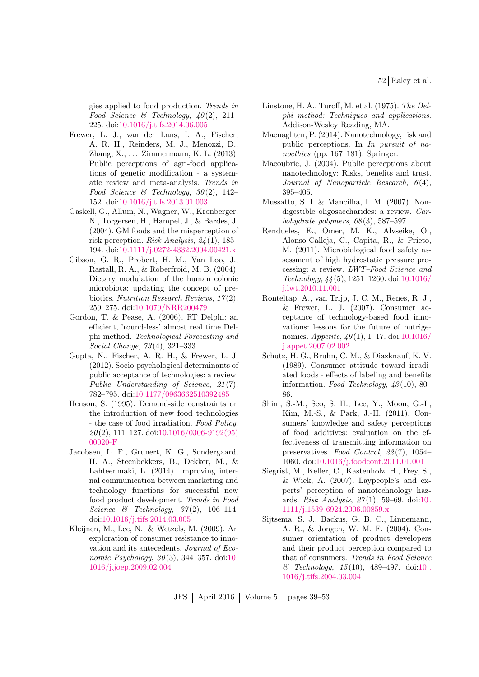gies applied to food production. Trends in Food Science & Technology,  $40(2)$ , 211-225. doi[:10.1016/j.tifs.2014.06.005](http://dx.doi.org/10.1016/j.tifs.2014.06.005)

- <span id="page-13-4"></span>Frewer, L. J., van der Lans, I. A., Fischer, A. R. H., Reinders, M. J., Menozzi, D., Zhang, X., . . . Zimmermann, K. L. (2013). Public perceptions of agri-food applications of genetic modification - a systematic review and meta-analysis. Trends in Food Science & Technology, 30(2), 142-152. doi[:10.1016/j.tifs.2013.01.003](http://dx.doi.org/10.1016/j.tifs.2013.01.003)
- <span id="page-13-3"></span>Gaskell, G., Allum, N., Wagner, W., Kronberger, N., Torgersen, H., Hampel, J., & Bardes, J. (2004). GM foods and the misperception of risk perception. Risk Analysis, 24 (1), 185– 194. doi[:10.1111/j.0272-4332.2004.00421.x](http://dx.doi.org/10.1111/j.0272-4332.2004.00421.x)
- <span id="page-13-2"></span>Gibson, G. R., Probert, H. M., Van Loo, J., Rastall, R. A., & Roberfroid, M. B. (2004). Dietary modulation of the human colonic microbiota: updating the concept of prebiotics. Nutrition Research Reviews, 17 (2), 259–275. doi[:10.1079/NRR200479](http://dx.doi.org/10.1079/NRR200479)
- <span id="page-13-16"></span>Gordon, T. & Pease, A. (2006). RT Delphi: an efficient, 'round-less' almost real time Delphi method. Technological Forecasting and Social Change, 73 (4), 321–333.
- <span id="page-13-5"></span>Gupta, N., Fischer, A. R. H., & Frewer, L. J. (2012). Socio-psychological determinants of public acceptance of technologies: a review. Public Understanding of Science, 21(7), 782–795. doi[:10.1177/0963662510392485](http://dx.doi.org/10.1177/0963662510392485)
- <span id="page-13-9"></span>Henson, S. (1995). Demand-side constraints on the introduction of new food technologies - the case of food irradiation. Food Policy,  $20(2)$ , 111–127. doi[:10.1016/0306-9192\(95\)](http://dx.doi.org/10.1016/0306-9192(95)00020-F) [00020-F](http://dx.doi.org/10.1016/0306-9192(95)00020-F)
- <span id="page-13-14"></span>Jacobsen, L. F., Grunert, K. G., Sondergaard, H. A., Steenbekkers, B., Dekker, M., & Lahteenmaki, L. (2014). Improving internal communication between marketing and technology functions for successful new food product development. Trends in Food Science & Technology,  $37(2)$ , 106-114. doi[:10.1016/j.tifs.2014.03.005](http://dx.doi.org/10.1016/j.tifs.2014.03.005)
- <span id="page-13-12"></span>Kleijnen, M., Lee, N., & Wetzels, M. (2009). An exploration of consumer resistance to innovation and its antecedents. Journal of Economic Psychology,  $30(3)$ ,  $344-357$ . doi[:10.](http://dx.doi.org/10.1016/j.joep.2009.02.004) [1016/j.joep.2009.02.004](http://dx.doi.org/10.1016/j.joep.2009.02.004)
- <span id="page-13-15"></span>Linstone, H. A., Turoff, M. et al. (1975). The Delphi method: Techniques and applications. Addison-Wesley Reading, MA.
- <span id="page-13-7"></span>Macnaghten, P. (2014). Nanotechnology, risk and public perceptions. In In pursuit of nanoethics (pp. 167–181). Springer.
- <span id="page-13-6"></span>Macoubrie, J. (2004). Public perceptions about nanotechnology: Risks, benefits and trust. Journal of Nanoparticle Research,  $6(4)$ , 395–405.
- <span id="page-13-1"></span>Mussatto, S. I. & Mancilha, I. M. (2007). Nondigestible oligosaccharides: a review. Carbohydrate polymers,  $68(3)$ , 587–597.
- <span id="page-13-0"></span>Rendueles, E., Omer, M. K., Alvseike, O., Alonso-Calleja, C., Capita, R., & Prieto, M. (2011). Microbiological food safety assessment of high hydrostatic pressure processing: a review. LWT–Food Science and Technology, 44 (5), 1251–1260. doi[:10.1016/](http://dx.doi.org/10.1016/j.lwt.2010.11.001) [j.lwt.2010.11.001](http://dx.doi.org/10.1016/j.lwt.2010.11.001)
- <span id="page-13-13"></span>Ronteltap, A., van Trijp, J. C. M., Renes, R. J., & Frewer, L. J. (2007). Consumer acceptance of technology-based food innovations: lessons for the future of nutrigenomics.  $Appetite, \frac{49(1), 1-17. \text{doi: } 10.1016}{$ [j.appet.2007.02.002](http://dx.doi.org/10.1016/j.appet.2007.02.002)
- <span id="page-13-10"></span>Schutz, H. G., Bruhn, C. M., & Diazknauf, K. V. (1989). Consumer attitude toward irradiated foods - effects of labeling and benefits information. Food Technology,  $43(10)$ , 80– 86.
- <span id="page-13-11"></span>Shim, S.-M., Seo, S. H., Lee, Y., Moon, G.-I., Kim, M.-S., & Park, J.-H. (2011). Consumers' knowledge and safety perceptions of food additives: evaluation on the effectiveness of transmitting information on preservatives. Food Control, 22 (7), 1054– 1060. doi[:10.1016/j.foodcont.2011.01.001](http://dx.doi.org/10.1016/j.foodcont.2011.01.001)
- <span id="page-13-8"></span>Siegrist, M., Keller, C., Kastenholz, H., Frey, S.,  $& \text{Wiek}, A. (2007). \text{Lavpeople's and ex-}$ perts' perception of nanotechnology hazards. Risk Analysis,  $27(1)$ , 59-69. doi[:10.](http://dx.doi.org/10.1111/j.1539-6924.2006.00859.x) [1111/j.1539-6924.2006.00859.x](http://dx.doi.org/10.1111/j.1539-6924.2006.00859.x)
- <span id="page-13-17"></span>Sijtsema, S. J., Backus, G. B. C., Linnemann, A. R., & Jongen, W. M. F. (2004). Consumer orientation of product developers and their product perception compared to that of consumers. Trends in Food Science  $& Technology, 15(10), 489-497. \text{ doi:10}.$ [1016/j.tifs.2004.03.004](http://dx.doi.org/10.1016/j.tifs.2004.03.004)